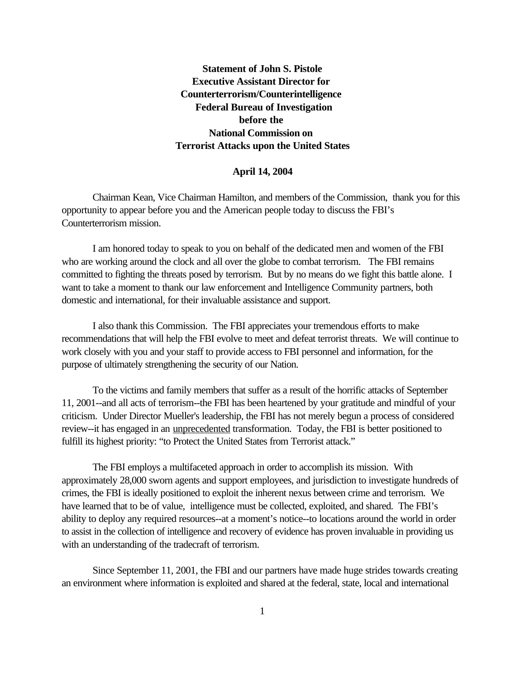**Statement of John S. Pistole Executive Assistant Director for Counterterrorism/Counterintelligence Federal Bureau of Investigation before the National Commission on Terrorist Attacks upon the United States**

#### **April 14, 2004**

Chairman Kean, Vice Chairman Hamilton, and members of the Commission, thank you for this opportunity to appear before you and the American people today to discuss the FBI's Counterterrorism mission.

I am honored today to speak to you on behalf of the dedicated men and women of the FBI who are working around the clock and all over the globe to combat terrorism. The FBI remains committed to fighting the threats posed by terrorism. But by no means do we fight this battle alone. I want to take a moment to thank our law enforcement and Intelligence Community partners, both domestic and international, for their invaluable assistance and support.

I also thank this Commission. The FBI appreciates your tremendous efforts to make recommendations that will help the FBI evolve to meet and defeat terrorist threats. We will continue to work closely with you and your staff to provide access to FBI personnel and information, for the purpose of ultimately strengthening the security of our Nation.

To the victims and family members that suffer as a result of the horrific attacks of September 11, 2001--and all acts of terrorism--the FBI has been heartened by your gratitude and mindful of your criticism. Under Director Mueller's leadership, the FBI has not merely begun a process of considered review--it has engaged in an unprecedented transformation. Today, the FBI is better positioned to fulfill its highest priority: "to Protect the United States from Terrorist attack."

The FBI employs a multifaceted approach in order to accomplish its mission. With approximately 28,000 sworn agents and support employees, and jurisdiction to investigate hundreds of crimes, the FBI is ideally positioned to exploit the inherent nexus between crime and terrorism. We have learned that to be of value, intelligence must be collected, exploited, and shared. The FBI's ability to deploy any required resources--at a moment's notice--to locations around the world in order to assist in the collection of intelligence and recovery of evidence has proven invaluable in providing us with an understanding of the tradecraft of terrorism.

Since September 11, 2001, the FBI and our partners have made huge strides towards creating an environment where information is exploited and shared at the federal, state, local and international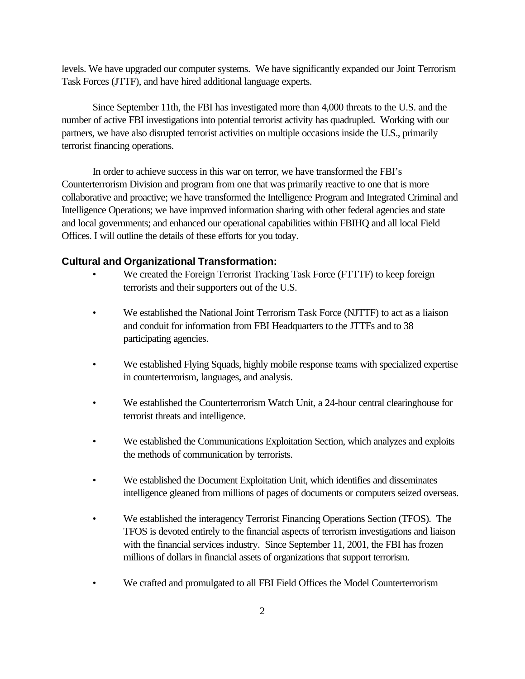levels. We have upgraded our computer systems. We have significantly expanded our Joint Terrorism Task Forces (JTTF), and have hired additional language experts.

Since September 11th, the FBI has investigated more than 4,000 threats to the U.S. and the number of active FBI investigations into potential terrorist activity has quadrupled. Working with our partners, we have also disrupted terrorist activities on multiple occasions inside the U.S., primarily terrorist financing operations.

In order to achieve success in this war on terror, we have transformed the FBI's Counterterrorism Division and program from one that was primarily reactive to one that is more collaborative and proactive; we have transformed the Intelligence Program and Integrated Criminal and Intelligence Operations; we have improved information sharing with other federal agencies and state and local governments; and enhanced our operational capabilities within FBIHQ and all local Field Offices. I will outline the details of these efforts for you today.

# **Cultural and Organizational Transformation:**

- We created the Foreign Terrorist Tracking Task Force (FTTTF) to keep foreign terrorists and their supporters out of the U.S.
- We established the National Joint Terrorism Task Force (NJTTF) to act as a liaison and conduit for information from FBI Headquarters to the JTTFs and to 38 participating agencies.
- We established Flying Squads, highly mobile response teams with specialized expertise in counterterrorism, languages, and analysis.
- We established the Counterterrorism Watch Unit, a 24-hour central clearinghouse for terrorist threats and intelligence.
- We established the Communications Exploitation Section, which analyzes and exploits the methods of communication by terrorists.
- We established the Document Exploitation Unit, which identifies and disseminates intelligence gleaned from millions of pages of documents or computers seized overseas.
- We established the interagency Terrorist Financing Operations Section (TFOS). The TFOS is devoted entirely to the financial aspects of terrorism investigations and liaison with the financial services industry. Since September 11, 2001, the FBI has frozen millions of dollars in financial assets of organizations that support terrorism.
- We crafted and promulgated to all FBI Field Offices the Model Counterterrorism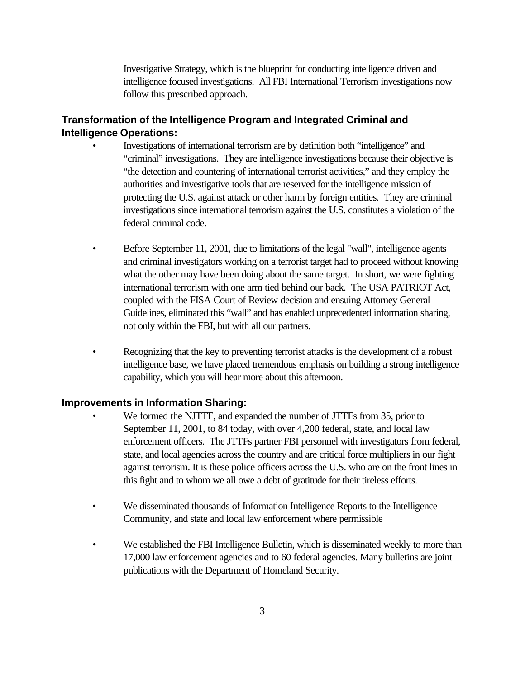Investigative Strategy, which is the blueprint for conducting intelligence driven and intelligence focused investigations. All FBI International Terrorism investigations now follow this prescribed approach.

# **Transformation of the Intelligence Program and Integrated Criminal and Intelligence Operations:**

- Investigations of international terrorism are by definition both "intelligence" and "criminal" investigations. They are intelligence investigations because their objective is "the detection and countering of international terrorist activities," and they employ the authorities and investigative tools that are reserved for the intelligence mission of protecting the U.S. against attack or other harm by foreign entities. They are criminal investigations since international terrorism against the U.S. constitutes a violation of the federal criminal code.
- Before September 11, 2001, due to limitations of the legal "wall", intelligence agents and criminal investigators working on a terrorist target had to proceed without knowing what the other may have been doing about the same target. In short, we were fighting international terrorism with one arm tied behind our back. The USA PATRIOT Act, coupled with the FISA Court of Review decision and ensuing Attorney General Guidelines, eliminated this "wall" and has enabled unprecedented information sharing, not only within the FBI, but with all our partners.
- Recognizing that the key to preventing terrorist attacks is the development of a robust intelligence base, we have placed tremendous emphasis on building a strong intelligence capability, which you will hear more about this afternoon.

# **Improvements in Information Sharing:**

- We formed the NJTTF, and expanded the number of JTTFs from 35, prior to September 11, 2001, to 84 today, with over 4,200 federal, state, and local law enforcement officers. The JTTFs partner FBI personnel with investigators from federal, state, and local agencies across the country and are critical force multipliers in our fight against terrorism. It is these police officers across the U.S. who are on the front lines in this fight and to whom we all owe a debt of gratitude for their tireless efforts.
- We disseminated thousands of Information Intelligence Reports to the Intelligence Community, and state and local law enforcement where permissible
- We established the FBI Intelligence Bulletin, which is disseminated weekly to more than 17,000 law enforcement agencies and to 60 federal agencies. Many bulletins are joint publications with the Department of Homeland Security.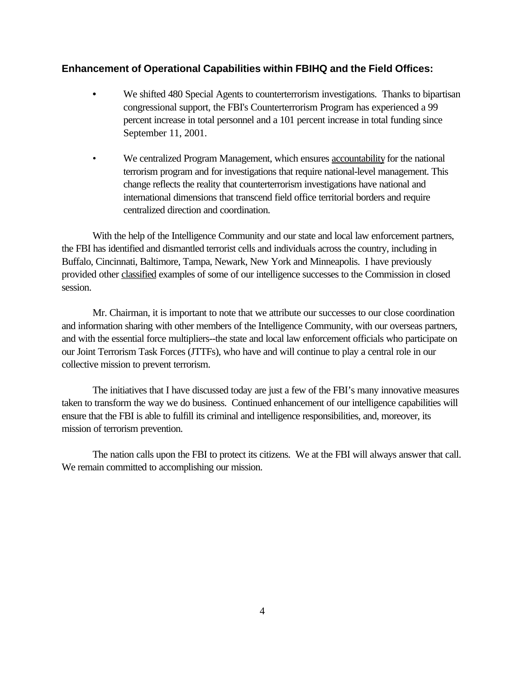# **Enhancement of Operational Capabilities within FBIHQ and the Field Offices:**

- **•** We shifted 480 Special Agents to counterterrorism investigations. Thanks to bipartisan congressional support, the FBI's Counterterrorism Program has experienced a 99 percent increase in total personnel and a 101 percent increase in total funding since September 11, 2001.
- We centralized Program Management, which ensures **accountability** for the national terrorism program and for investigations that require national-level management. This change reflects the reality that counterterrorism investigations have national and international dimensions that transcend field office territorial borders and require centralized direction and coordination.

With the help of the Intelligence Community and our state and local law enforcement partners, the FBI has identified and dismantled terrorist cells and individuals across the country, including in Buffalo, Cincinnati, Baltimore, Tampa, Newark, New York and Minneapolis. I have previously provided other classified examples of some of our intelligence successes to the Commission in closed session.

Mr. Chairman, it is important to note that we attribute our successes to our close coordination and information sharing with other members of the Intelligence Community, with our overseas partners, and with the essential force multipliers--the state and local law enforcement officials who participate on our Joint Terrorism Task Forces (JTTFs), who have and will continue to play a central role in our collective mission to prevent terrorism.

The initiatives that I have discussed today are just a few of the FBI's many innovative measures taken to transform the way we do business. Continued enhancement of our intelligence capabilities will ensure that the FBI is able to fulfill its criminal and intelligence responsibilities, and, moreover, its mission of terrorism prevention.

The nation calls upon the FBI to protect its citizens. We at the FBI will always answer that call. We remain committed to accomplishing our mission.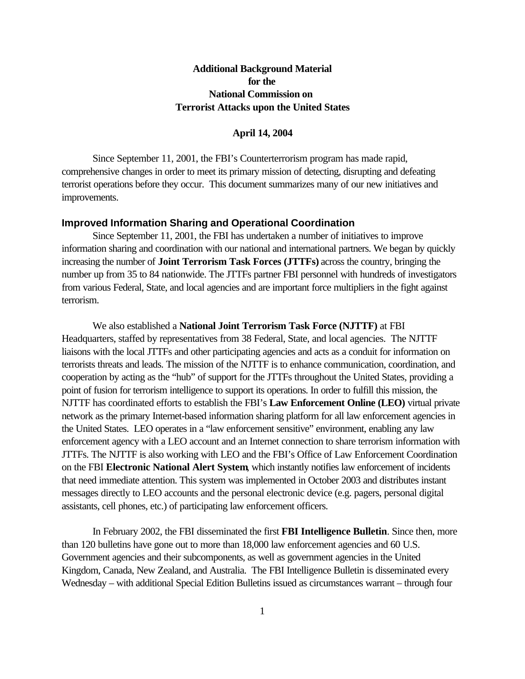# **Additional Background Material for the National Commission on Terrorist Attacks upon the United States**

# **April 14, 2004**

Since September 11, 2001, the FBI's Counterterrorism program has made rapid, comprehensive changes in order to meet its primary mission of detecting, disrupting and defeating terrorist operations before they occur. This document summarizes many of our new initiatives and improvements.

### **Improved Information Sharing and Operational Coordination**

Since September 11, 2001, the FBI has undertaken a number of initiatives to improve information sharing and coordination with our national and international partners. We began by quickly increasing the number of **Joint Terrorism Task Forces (JTTFs)** across the country, bringing the number up from 35 to 84 nationwide. The JTTFs partner FBI personnel with hundreds of investigators from various Federal, State, and local agencies and are important force multipliers in the fight against terrorism.

We also established a **National Joint Terrorism Task Force (NJTTF)** at FBI Headquarters, staffed by representatives from 38 Federal, State, and local agencies. The NJTTF liaisons with the local JTTFs and other participating agencies and acts as a conduit for information on terrorists threats and leads. The mission of the NJTTF is to enhance communication, coordination, and cooperation by acting as the "hub" of support for the JTTFs throughout the United States, providing a point of fusion for terrorism intelligence to support its operations. In order to fulfill this mission, the NJTTF has coordinated efforts to establish the FBI's **Law Enforcement Online (LEO)** virtual private network as the primary Internet-based information sharing platform for all law enforcement agencies in the United States. LEO operates in a "law enforcement sensitive" environment, enabling any law enforcement agency with a LEO account and an Internet connection to share terrorism information with JTTFs. The NJTTF is also working with LEO and the FBI's Office of Law Enforcement Coordination on the FBI **Electronic National Alert System**, which instantly notifies law enforcement of incidents that need immediate attention. This system was implemented in October 2003 and distributes instant messages directly to LEO accounts and the personal electronic device (e.g. pagers, personal digital assistants, cell phones, etc.) of participating law enforcement officers.

In February 2002, the FBI disseminated the first **FBI Intelligence Bulletin**. Since then, more than 120 bulletins have gone out to more than 18,000 law enforcement agencies and 60 U.S. Government agencies and their subcomponents, as well as government agencies in the United Kingdom, Canada, New Zealand, and Australia. The FBI Intelligence Bulletin is disseminated every Wednesday – with additional Special Edition Bulletins issued as circumstances warrant – through four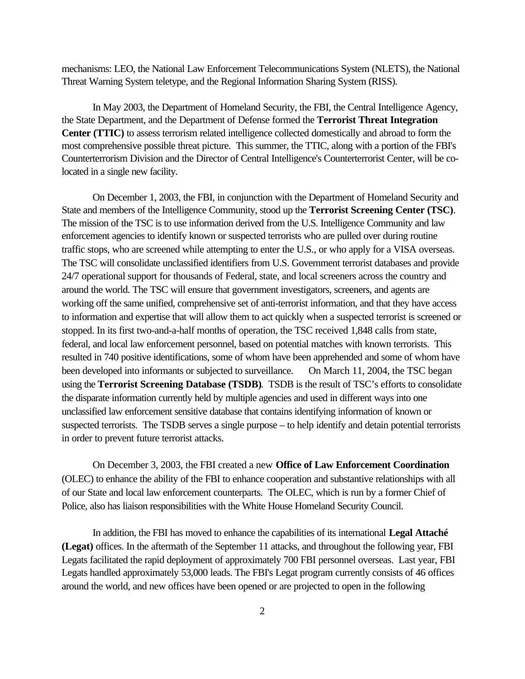mechanisms: LEO, the National Law Enforcement Telecommunications System (NLETS), the National Threat Warning System teletype, and the Regional Information Sharing System (RISS).

In May 2003, the Department of Homeland Security, the FBI, the Central Intelligence Agency, the State Department, and the Department of Defense formed the **Terrorist Threat Integration Center (TTIC)** to assess terrorism related intelligence collected domestically and abroad to form the most comprehensive possible threat picture. This summer, the TTIC, along with a portion of the FBI's Counterterrorism Division and the Director of Central Intelligence's Counterterrorist Center, will be colocated in a single new facility.

On December 1, 2003, the FBI, in conjunction with the Department of Homeland Security and State and members of the Intelligence Community, stood up the **Terrorist Screening Center (TSC)**. The mission of the TSC is to use information derived from the U.S. Intelligence Community and law enforcement agencies to identify known or suspected terrorists who are pulled over during routine traffic stops, who are screened while attempting to enter the U.S., or who apply for a VISA overseas. The TSC will consolidate unclassified identifiers from U.S. Government terrorist databases and provide 24/7 operational support for thousands of Federal, state, and local screeners across the country and around the world. The TSC will ensure that government investigators, screeners, and agents are working off the same unified, comprehensive set of anti-terrorist information, and that they have access to information and expertise that will allow them to act quickly when a suspected terrorist is screened or stopped. In its first two-and-a-half months of operation, the TSC received 1,848 calls from state, federal, and local law enforcement personnel, based on potential matches with known terrorists. This resulted in 740 positive identifications, some of whom have been apprehended and some of whom have been developed into informants or subjected to surveillance. On March 11, 2004, the TSC began using the **Terrorist Screening Database (TSDB)**. TSDB is the result of TSC's efforts to consolidate the disparate information currently held by multiple agencies and used in different ways into one unclassified law enforcement sensitive database that contains identifying information of known or suspected terrorists. The TSDB serves a single purpose – to help identify and detain potential terrorists in order to prevent future terrorist attacks.

On December 3, 2003, the FBI created a new **Office of Law Enforcement Coordination** (OLEC) to enhance the ability of the FBI to enhance cooperation and substantive relationships with all of our State and local law enforcement counterparts. The OLEC, which is run by a former Chief of Police, also has liaison responsibilities with the White House Homeland Security Council.

In addition, the FBI has moved to enhance the capabilities of its international **Legal Attaché (Legat)** offices. In the aftermath of the September 11 attacks, and throughout the following year, FBI Legats facilitated the rapid deployment of approximately 700 FBI personnel overseas. Last year, FBI Legats handled approximately 53,000 leads. The FBI's Legat program currently consists of 46 offices around the world, and new offices have been opened or are projected to open in the following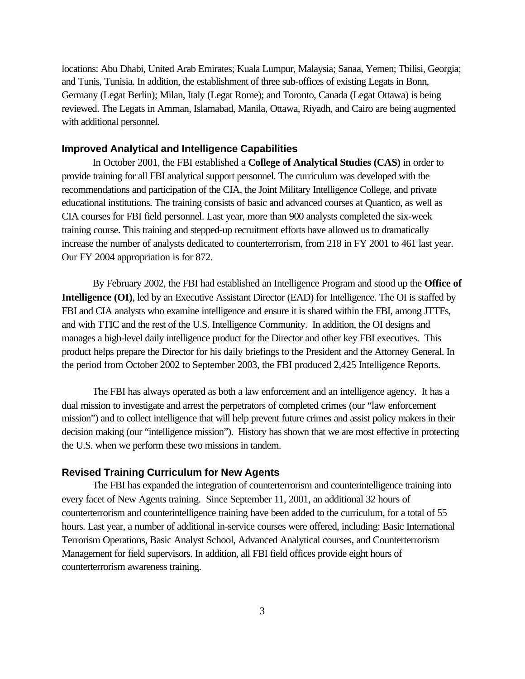locations: Abu Dhabi, United Arab Emirates; Kuala Lumpur, Malaysia; Sanaa, Yemen; Tbilisi, Georgia; and Tunis, Tunisia. In addition, the establishment of three sub-offices of existing Legats in Bonn, Germany (Legat Berlin); Milan, Italy (Legat Rome); and Toronto, Canada (Legat Ottawa) is being reviewed. The Legats in Amman, Islamabad, Manila, Ottawa, Riyadh, and Cairo are being augmented with additional personnel.

### **Improved Analytical and Intelligence Capabilities**

In October 2001, the FBI established a **College of Analytical Studies (CAS)** in order to provide training for all FBI analytical support personnel. The curriculum was developed with the recommendations and participation of the CIA, the Joint Military Intelligence College, and private educational institutions. The training consists of basic and advanced courses at Quantico, as well as CIA courses for FBI field personnel. Last year, more than 900 analysts completed the six-week training course. This training and stepped-up recruitment efforts have allowed us to dramatically increase the number of analysts dedicated to counterterrorism, from 218 in FY 2001 to 461 last year. Our FY 2004 appropriation is for 872.

By February 2002, the FBI had established an Intelligence Program and stood up the **Office of Intelligence (OI)**, led by an Executive Assistant Director (EAD) for Intelligence. The OI is staffed by FBI and CIA analysts who examine intelligence and ensure it is shared within the FBI, among JTTFs, and with TTIC and the rest of the U.S. Intelligence Community. In addition, the OI designs and manages a high-level daily intelligence product for the Director and other key FBI executives. This product helps prepare the Director for his daily briefings to the President and the Attorney General. In the period from October 2002 to September 2003, the FBI produced 2,425 Intelligence Reports.

The FBI has always operated as both a law enforcement and an intelligence agency. It has a dual mission to investigate and arrest the perpetrators of completed crimes (our "law enforcement mission") and to collect intelligence that will help prevent future crimes and assist policy makers in their decision making (our "intelligence mission"). History has shown that we are most effective in protecting the U.S. when we perform these two missions in tandem.

# **Revised Training Curriculum for New Agents**

The FBI has expanded the integration of counterterrorism and counterintelligence training into every facet of New Agents training. Since September 11, 2001, an additional 32 hours of counterterrorism and counterintelligence training have been added to the curriculum, for a total of 55 hours. Last year, a number of additional in-service courses were offered, including: Basic International Terrorism Operations, Basic Analyst School, Advanced Analytical courses, and Counterterrorism Management for field supervisors. In addition, all FBI field offices provide eight hours of counterterrorism awareness training.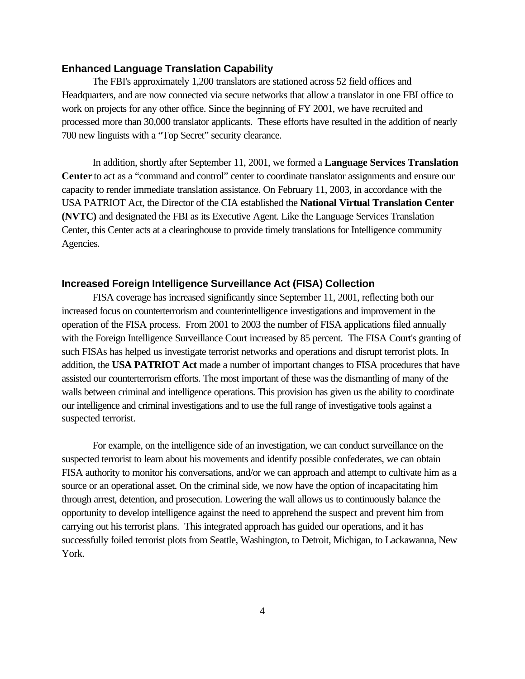# **Enhanced Language Translation Capability**

The FBI's approximately 1,200 translators are stationed across 52 field offices and Headquarters, and are now connected via secure networks that allow a translator in one FBI office to work on projects for any other office. Since the beginning of FY 2001, we have recruited and processed more than 30,000 translator applicants. These efforts have resulted in the addition of nearly 700 new linguists with a "Top Secret" security clearance.

In addition, shortly after September 11, 2001, we formed a **Language Services Translation Center** to act as a "command and control" center to coordinate translator assignments and ensure our capacity to render immediate translation assistance. On February 11, 2003, in accordance with the USA PATRIOT Act, the Director of the CIA established the **National Virtual Translation Center (NVTC)** and designated the FBI as its Executive Agent. Like the Language Services Translation Center, this Center acts at a clearinghouse to provide timely translations for Intelligence community Agencies.

### **Increased Foreign Intelligence Surveillance Act (FISA) Collection**

FISA coverage has increased significantly since September 11, 2001, reflecting both our increased focus on counterterrorism and counterintelligence investigations and improvement in the operation of the FISA process. From 2001 to 2003 the number of FISA applications filed annually with the Foreign Intelligence Surveillance Court increased by 85 percent. The FISA Court's granting of such FISAs has helped us investigate terrorist networks and operations and disrupt terrorist plots. In addition, the **USA PATRIOT Act** made a number of important changes to FISA procedures that have assisted our counterterrorism efforts. The most important of these was the dismantling of many of the walls between criminal and intelligence operations. This provision has given us the ability to coordinate our intelligence and criminal investigations and to use the full range of investigative tools against a suspected terrorist.

For example, on the intelligence side of an investigation, we can conduct surveillance on the suspected terrorist to learn about his movements and identify possible confederates, we can obtain FISA authority to monitor his conversations, and/or we can approach and attempt to cultivate him as a source or an operational asset. On the criminal side, we now have the option of incapacitating him through arrest, detention, and prosecution. Lowering the wall allows us to continuously balance the opportunity to develop intelligence against the need to apprehend the suspect and prevent him from carrying out his terrorist plans. This integrated approach has guided our operations, and it has successfully foiled terrorist plots from Seattle, Washington, to Detroit, Michigan, to Lackawanna, New York.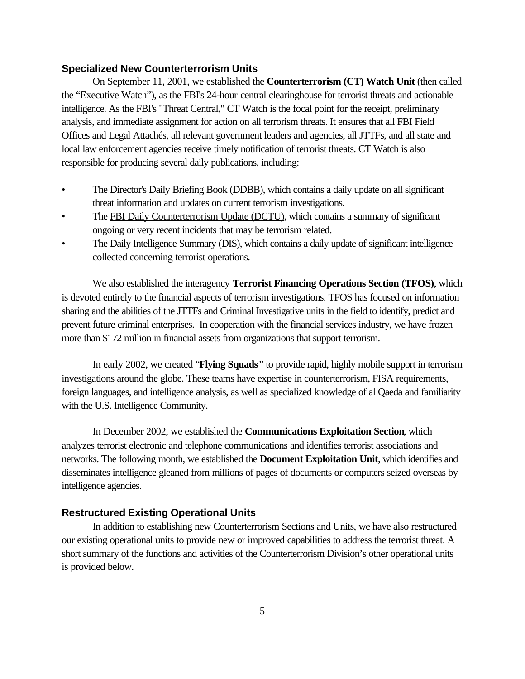### **Specialized New Counterterrorism Units**

On September 11, 2001, we established the **Counterterrorism (CT) Watch Unit** (then called the "Executive Watch"), as the FBI's 24-hour central clearinghouse for terrorist threats and actionable intelligence. As the FBI's "Threat Central," CT Watch is the focal point for the receipt, preliminary analysis, and immediate assignment for action on all terrorism threats. It ensures that all FBI Field Offices and Legal Attachés, all relevant government leaders and agencies, all JTTFs, and all state and local law enforcement agencies receive timely notification of terrorist threats. CT Watch is also responsible for producing several daily publications, including:

- The Director's Daily Briefing Book (DDBB), which contains a daily update on all significant threat information and updates on current terrorism investigations.
- The **FBI Daily Counterterrorism Update (DCTU)**, which contains a summary of significant ongoing or very recent incidents that may be terrorism related.
- The **Daily Intelligence Summary (DIS)**, which contains a daily update of significant intelligence collected concerning terrorist operations.

We also established the interagency **Terrorist Financing Operations Section (TFOS)**, which is devoted entirely to the financial aspects of terrorism investigations. TFOS has focused on information sharing and the abilities of the JTTFs and Criminal Investigative units in the field to identify, predict and prevent future criminal enterprises. In cooperation with the financial services industry, we have frozen more than \$172 million in financial assets from organizations that support terrorism.

In early 2002, we created "**Flying Squads**" to provide rapid, highly mobile support in terrorism investigations around the globe. These teams have expertise in counterterrorism, FISA requirements, foreign languages, and intelligence analysis, as well as specialized knowledge of al Qaeda and familiarity with the U.S. Intelligence Community.

In December 2002, we established the **Communications Exploitation Section**, which analyzes terrorist electronic and telephone communications and identifies terrorist associations and networks. The following month, we established the **Document Exploitation Unit**, which identifies and disseminates intelligence gleaned from millions of pages of documents or computers seized overseas by intelligence agencies.

# **Restructured Existing Operational Units**

In addition to establishing new Counterterrorism Sections and Units, we have also restructured our existing operational units to provide new or improved capabilities to address the terrorist threat. A short summary of the functions and activities of the Counterterrorism Division's other operational units is provided below.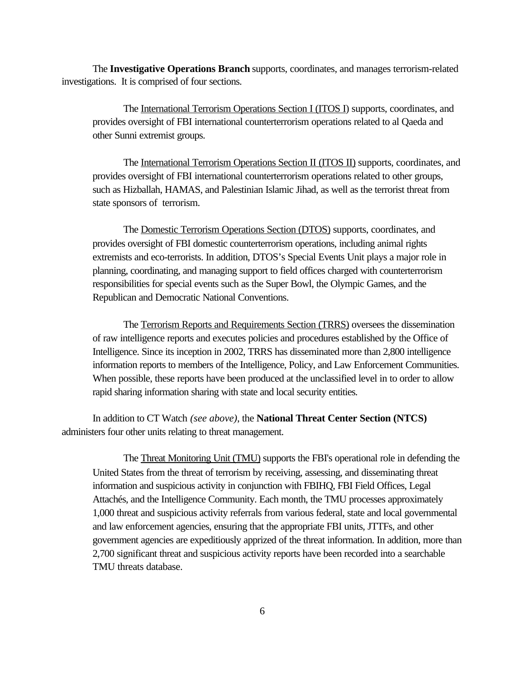The **Investigative Operations Branch** supports, coordinates, and manages terrorism-related investigations. It is comprised of four sections.

The International Terrorism Operations Section I (ITOS I) supports, coordinates, and provides oversight of FBI international counterterrorism operations related to al Qaeda and other Sunni extremist groups.

The International Terrorism Operations Section II (ITOS II) supports, coordinates, and provides oversight of FBI international counterterrorism operations related to other groups, such as Hizballah, HAMAS, and Palestinian Islamic Jihad, as well as the terrorist threat from state sponsors of terrorism.

The Domestic Terrorism Operations Section (DTOS) supports, coordinates, and provides oversight of FBI domestic counterterrorism operations, including animal rights extremists and eco-terrorists. In addition, DTOS's Special Events Unit plays a major role in planning, coordinating, and managing support to field offices charged with counterterrorism responsibilities for special events such as the Super Bowl, the Olympic Games, and the Republican and Democratic National Conventions.

The Terrorism Reports and Requirements Section (TRRS) oversees the dissemination of raw intelligence reports and executes policies and procedures established by the Office of Intelligence. Since its inception in 2002, TRRS has disseminated more than 2,800 intelligence information reports to members of the Intelligence, Policy, and Law Enforcement Communities. When possible, these reports have been produced at the unclassified level in to order to allow rapid sharing information sharing with state and local security entities.

In addition to CT Watch *(see above)*, the **National Threat Center Section (NTCS)** administers four other units relating to threat management.

The Threat Monitoring Unit (TMU) supports the FBI's operational role in defending the United States from the threat of terrorism by receiving, assessing, and disseminating threat information and suspicious activity in conjunction with FBIHQ, FBI Field Offices, Legal Attachés, and the Intelligence Community. Each month, the TMU processes approximately 1,000 threat and suspicious activity referrals from various federal, state and local governmental and law enforcement agencies, ensuring that the appropriate FBI units, JTTFs, and other government agencies are expeditiously apprized of the threat information. In addition, more than 2,700 significant threat and suspicious activity reports have been recorded into a searchable TMU threats database.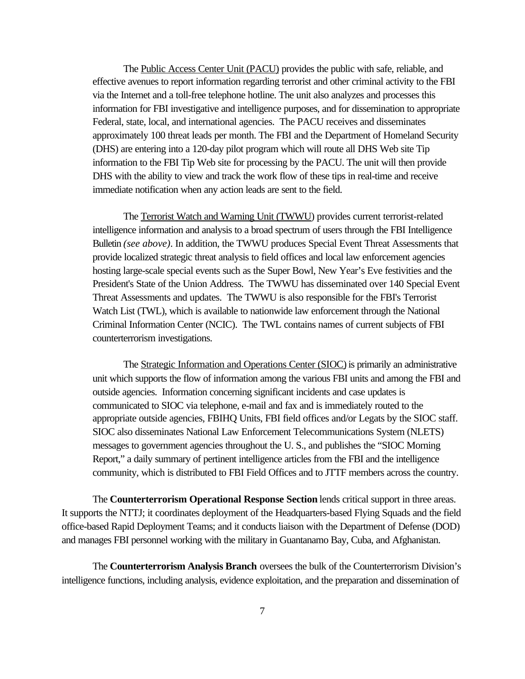The Public Access Center Unit (PACU) provides the public with safe, reliable, and effective avenues to report information regarding terrorist and other criminal activity to the FBI via the Internet and a toll-free telephone hotline. The unit also analyzes and processes this information for FBI investigative and intelligence purposes, and for dissemination to appropriate Federal, state, local, and international agencies. The PACU receives and disseminates approximately 100 threat leads per month. The FBI and the Department of Homeland Security (DHS) are entering into a 120-day pilot program which will route all DHS Web site Tip information to the FBI Tip Web site for processing by the PACU. The unit will then provide DHS with the ability to view and track the work flow of these tips in real-time and receive immediate notification when any action leads are sent to the field.

The Terrorist Watch and Warning Unit (TWWU) provides current terrorist-related intelligence information and analysis to a broad spectrum of users through the FBI Intelligence Bulletin *(see above)*. In addition, the TWWU produces Special Event Threat Assessments that provide localized strategic threat analysis to field offices and local law enforcement agencies hosting large-scale special events such as the Super Bowl, New Year's Eve festivities and the President's State of the Union Address. The TWWU has disseminated over 140 Special Event Threat Assessments and updates.The TWWU is also responsible for the FBI's Terrorist Watch List (TWL), which is available to nationwide law enforcement through the National Criminal Information Center (NCIC). The TWL contains names of current subjects of FBI counterterrorism investigations.

The Strategic Information and Operations Center (SIOC) is primarily an administrative unit which supports the flow of information among the various FBI units and among the FBI and outside agencies. Information concerning significant incidents and case updates is communicated to SIOC via telephone, e-mail and fax and is immediately routed to the appropriate outside agencies, FBIHQ Units, FBI field offices and/or Legats by the SIOC staff. SIOC also disseminates National Law Enforcement Telecommunications System (NLETS) messages to government agencies throughout the U. S., and publishes the "SIOC Morning Report," a daily summary of pertinent intelligence articles from the FBI and the intelligence community, which is distributed to FBI Field Offices and to JTTF members across the country.

The **Counterterrorism Operational Response Section** lends critical support in three areas. It supports the NTTJ; it coordinates deployment of the Headquarters-based Flying Squads and the field office-based Rapid Deployment Teams; and it conducts liaison with the Department of Defense (DOD) and manages FBI personnel working with the military in Guantanamo Bay, Cuba, and Afghanistan.

The **Counterterrorism Analysis Branch** oversees the bulk of the Counterterrorism Division's intelligence functions, including analysis, evidence exploitation, and the preparation and dissemination of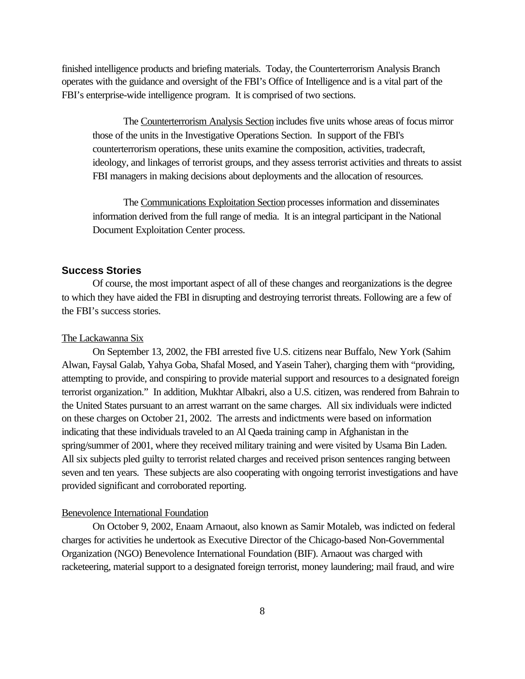finished intelligence products and briefing materials. Today, the Counterterrorism Analysis Branch operates with the guidance and oversight of the FBI's Office of Intelligence and is a vital part of the FBI's enterprise-wide intelligence program. It is comprised of two sections.

The Counterterrorism Analysis Section includes five units whose areas of focus mirror those of the units in the Investigative Operations Section. In support of the FBI's counterterrorism operations, these units examine the composition, activities, tradecraft, ideology, and linkages of terrorist groups, and they assess terrorist activities and threats to assist FBI managers in making decisions about deployments and the allocation of resources.

The Communications Exploitation Section processes information and disseminates information derived from the full range of media. It is an integral participant in the National Document Exploitation Center process.

#### **Success Stories**

Of course, the most important aspect of all of these changes and reorganizations is the degree to which they have aided the FBI in disrupting and destroying terrorist threats. Following are a few of the FBI's success stories.

#### The Lackawanna Six

On September 13, 2002, the FBI arrested five U.S. citizens near Buffalo, New York (Sahim Alwan, Faysal Galab, Yahya Goba, Shafal Mosed, and Yasein Taher), charging them with "providing, attempting to provide, and conspiring to provide material support and resources to a designated foreign terrorist organization." In addition, Mukhtar Albakri, also a U.S. citizen, was rendered from Bahrain to the United States pursuant to an arrest warrant on the same charges. All six individuals were indicted on these charges on October 21, 2002. The arrests and indictments were based on information indicating that these individuals traveled to an Al Qaeda training camp in Afghanistan in the spring/summer of 2001, where they received military training and were visited by Usama Bin Laden. All six subjects pled guilty to terrorist related charges and received prison sentences ranging between seven and ten years. These subjects are also cooperating with ongoing terrorist investigations and have provided significant and corroborated reporting.

# Benevolence International Foundation

On October 9, 2002, Enaam Arnaout, also known as Samir Motaleb, was indicted on federal charges for activities he undertook as Executive Director of the Chicago-based Non-Governmental Organization (NGO) Benevolence International Foundation (BIF). Arnaout was charged with racketeering, material support to a designated foreign terrorist, money laundering; mail fraud, and wire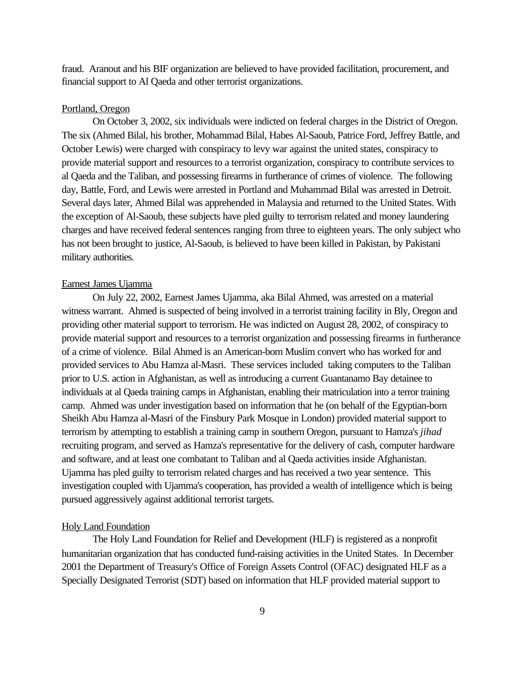fraud. Aranout and his BIF organization are believed to have provided facilitation, procurement, and financial support to Al Qaeda and other terrorist organizations.

#### Portland, Oregon

On October 3, 2002, six individuals were indicted on federal charges in the District of Oregon. The six (Ahmed Bilal, his brother, Mohammad Bilal, Habes Al-Saoub, Patrice Ford, Jeffrey Battle, and October Lewis) were charged with conspiracy to levy war against the united states, conspiracy to provide material support and resources to a terrorist organization, conspiracy to contribute services to al Qaeda and the Taliban, and possessing firearms in furtherance of crimes of violence. The following day, Battle, Ford, and Lewis were arrested in Portland and Muhammad Bilal was arrested in Detroit. Several days later, Ahmed Bilal was apprehended in Malaysia and returned to the United States. With the exception of Al-Saoub, these subjects have pled guilty to terrorism related and money laundering charges and have received federal sentences ranging from three to eighteen years. The only subject who has not been brought to justice, Al-Saoub, is believed to have been killed in Pakistan, by Pakistani military authorities.

# Earnest James Ujamma

On July 22, 2002, Earnest James Ujamma, aka Bilal Ahmed, was arrested on a material witness warrant. Ahmed is suspected of being involved in a terrorist training facility in Bly, Oregon and providing other material support to terrorism. He was indicted on August 28, 2002, of conspiracy to provide material support and resources to a terrorist organization and possessing firearms in furtherance of a crime of violence. Bilal Ahmed is an American-born Muslim convert who has worked for and provided services to Abu Hamza al-Masri. These services included taking computers to the Taliban prior to U.S. action in Afghanistan, as well as introducing a current Guantanamo Bay detainee to individuals at al Qaeda training camps in Afghanistan, enabling their matriculation into a terror training camp. Ahmed was under investigation based on information that he (on behalf of the Egyptian-born Sheikh Abu Hamza al-Masri of the Finsbury Park Mosque in London) provided material support to terrorism by attempting to establish a training camp in southern Oregon, pursuant to Hamza's *jihad* recruiting program, and served as Hamza's representative for the delivery of cash, computer hardware and software, and at least one combatant to Taliban and al Qaeda activities inside Afghanistan. Ujamma has pled guilty to terrorism related charges and has received a two year sentence. This investigation coupled with Ujamma's cooperation, has provided a wealth of intelligence which is being pursued aggressively against additional terrorist targets.

#### Holy Land Foundation

The Holy Land Foundation for Relief and Development (HLF) is registered as a nonprofit humanitarian organization that has conducted fund-raising activities in the United States. In December 2001 the Department of Treasury's Office of Foreign Assets Control (OFAC) designated HLF as a Specially Designated Terrorist (SDT) based on information that HLF provided material support to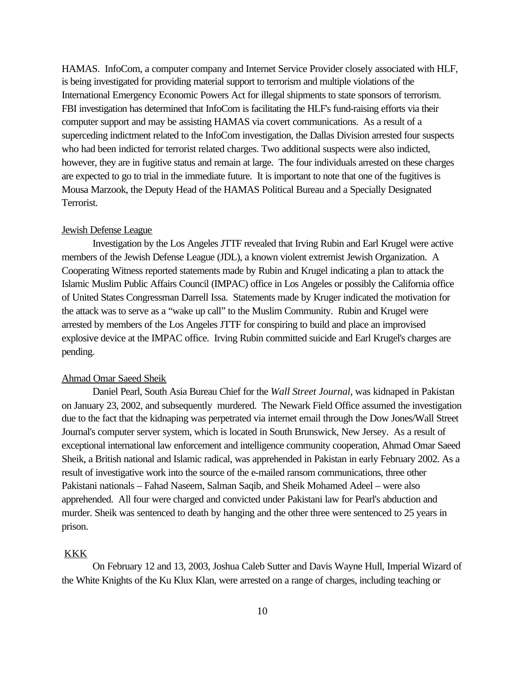HAMAS. InfoCom, a computer company and Internet Service Provider closely associated with HLF, is being investigated for providing material support to terrorism and multiple violations of the International Emergency Economic Powers Act for illegal shipments to state sponsors of terrorism. FBI investigation has determined that InfoCom is facilitating the HLF's fund-raising efforts via their computer support and may be assisting HAMAS via covert communications. As a result of a superceding indictment related to the InfoCom investigation, the Dallas Division arrested four suspects who had been indicted for terrorist related charges. Two additional suspects were also indicted, however, they are in fugitive status and remain at large. The four individuals arrested on these charges are expected to go to trial in the immediate future. It is important to note that one of the fugitives is Mousa Marzook, the Deputy Head of the HAMAS Political Bureau and a Specially Designated Terrorist.

#### Jewish Defense League

Investigation by the Los Angeles JTTF revealed that Irving Rubin and Earl Krugel were active members of the Jewish Defense League (JDL), a known violent extremist Jewish Organization. A Cooperating Witness reported statements made by Rubin and Krugel indicating a plan to attack the Islamic Muslim Public Affairs Council (IMPAC) office in Los Angeles or possibly the California office of United States Congressman Darrell Issa. Statements made by Kruger indicated the motivation for the attack was to serve as a "wake up call" to the Muslim Community. Rubin and Krugel were arrested by members of the Los Angeles JTTF for conspiring to build and place an improvised explosive device at the IMPAC office. Irving Rubin committed suicide and Earl Krugel's charges are pending.

# Ahmad Omar Saeed Sheik

Daniel Pearl, South Asia Bureau Chief for the *Wall Street Journal*, was kidnaped in Pakistan on January 23, 2002, and subsequently murdered. The Newark Field Office assumed the investigation due to the fact that the kidnaping was perpetrated via internet email through the Dow Jones/Wall Street Journal's computer server system, which is located in South Brunswick, New Jersey. As a result of exceptional international law enforcement and intelligence community cooperation, Ahmad Omar Saeed Sheik, a British national and Islamic radical, was apprehended in Pakistan in early February 2002. As a result of investigative work into the source of the e-mailed ransom communications, three other Pakistani nationals – Fahad Naseem, Salman Saqib, and Sheik Mohamed Adeel – were also apprehended. All four were charged and convicted under Pakistani law for Pearl's abduction and murder. Sheik was sentenced to death by hanging and the other three were sentenced to 25 years in prison.

#### KKK

On February 12 and 13, 2003, Joshua Caleb Sutter and Davis Wayne Hull, Imperial Wizard of the White Knights of the Ku Klux Klan, were arrested on a range of charges, including teaching or